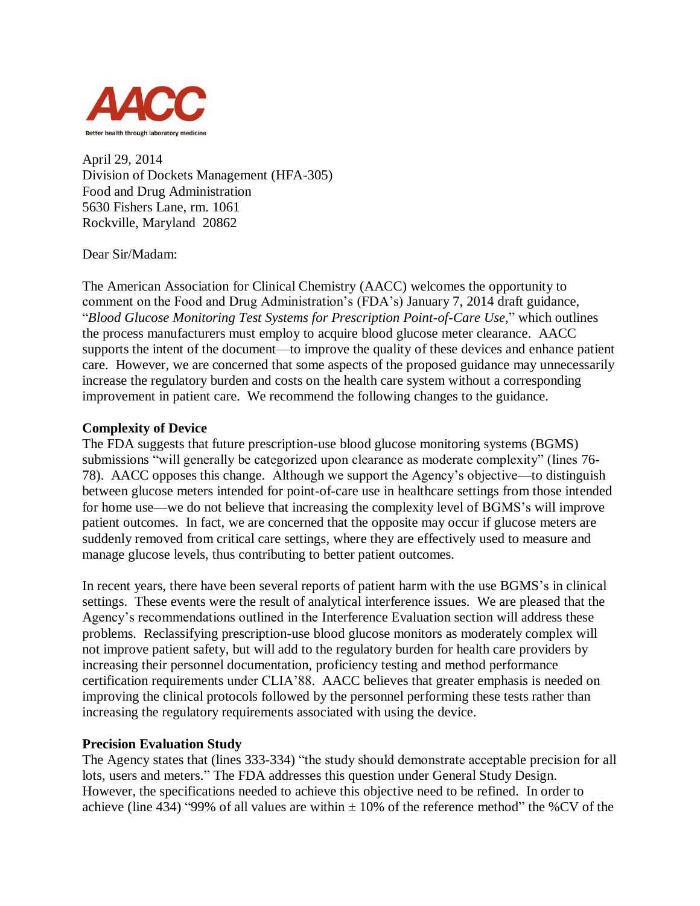

April 29, 2014 Division of Dockets Management (HFA-305) Food and Drug Administration 5630 Fishers Lane, rm. 1061 Rockville, Maryland 20862

Dear Sir/Madam:

The American Association for Clinical Chemistry (AACC) welcomes the opportunity to comment on the Food and Drug Administration's (FDA's) January 7, 2014 draft guidance, "*Blood Glucose Monitoring Test Systems for Prescription Point-of-Care Use*," which outlines the process manufacturers must employ to acquire blood glucose meter clearance. AACC supports the intent of the document—to improve the quality of these devices and enhance patient care. However, we are concerned that some aspects of the proposed guidance may unnecessarily increase the regulatory burden and costs on the health care system without a corresponding improvement in patient care. We recommend the following changes to the guidance.

## **Complexity of Device**

The FDA suggests that future prescription-use blood glucose monitoring systems (BGMS) submissions "will generally be categorized upon clearance as moderate complexity" (lines 76- 78). AACC opposes this change. Although we support the Agency's objective—to distinguish between glucose meters intended for point-of-care use in healthcare settings from those intended for home use—we do not believe that increasing the complexity level of BGMS's will improve patient outcomes. In fact, we are concerned that the opposite may occur if glucose meters are suddenly removed from critical care settings, where they are effectively used to measure and manage glucose levels, thus contributing to better patient outcomes.

In recent years, there have been several reports of patient harm with the use BGMS's in clinical settings. These events were the result of analytical interference issues. We are pleased that the Agency's recommendations outlined in the Interference Evaluation section will address these problems. Reclassifying prescription-use blood glucose monitors as moderately complex will not improve patient safety, but will add to the regulatory burden for health care providers by increasing their personnel documentation, proficiency testing and method performance certification requirements under CLIA'88. AACC believes that greater emphasis is needed on improving the clinical protocols followed by the personnel performing these tests rather than increasing the regulatory requirements associated with using the device.

## **Precision Evaluation Study**

The Agency states that (lines 333-334) "the study should demonstrate acceptable precision for all lots, users and meters." The FDA addresses this question under General Study Design. However, the specifications needed to achieve this objective need to be refined. In order to achieve (line 434) "99% of all values are within  $\pm$  10% of the reference method" the %CV of the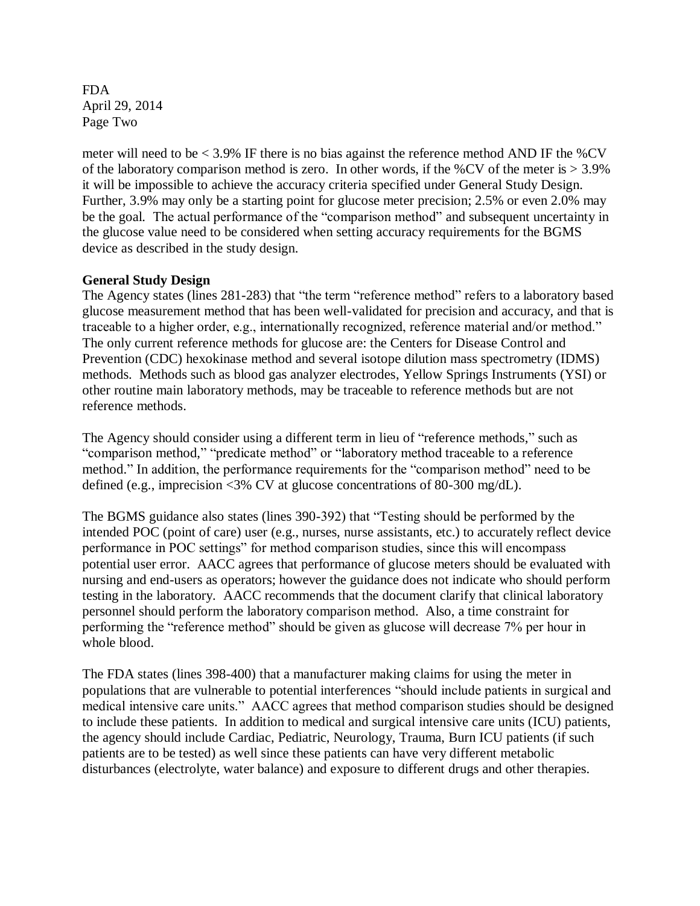FDA April 29, 2014 Page Two

meter will need to be  $\lt$  3.9% IF there is no bias against the reference method AND IF the %CV of the laboratory comparison method is zero. In other words, if the %CV of the meter is  $> 3.9\%$ it will be impossible to achieve the accuracy criteria specified under General Study Design. Further, 3.9% may only be a starting point for glucose meter precision; 2.5% or even 2.0% may be the goal. The actual performance of the "comparison method" and subsequent uncertainty in the glucose value need to be considered when setting accuracy requirements for the BGMS device as described in the study design.

# **General Study Design**

The Agency states (lines 281-283) that "the term "reference method" refers to a laboratory based glucose measurement method that has been well-validated for precision and accuracy, and that is traceable to a higher order, e.g., internationally recognized, reference material and/or method." The only current reference methods for glucose are: the Centers for Disease Control and Prevention (CDC) hexokinase method and several isotope dilution mass spectrometry (IDMS) methods. Methods such as blood gas analyzer electrodes, Yellow Springs Instruments (YSI) or other routine main laboratory methods, may be traceable to reference methods but are not reference methods.

The Agency should consider using a different term in lieu of "reference methods," such as "comparison method," "predicate method" or "laboratory method traceable to a reference method." In addition, the performance requirements for the "comparison method" need to be defined (e.g., imprecision <3% CV at glucose concentrations of 80-300 mg/dL).

The BGMS guidance also states (lines 390-392) that "Testing should be performed by the intended POC (point of care) user (e.g., nurses, nurse assistants, etc.) to accurately reflect device performance in POC settings" for method comparison studies, since this will encompass potential user error. AACC agrees that performance of glucose meters should be evaluated with nursing and end-users as operators; however the guidance does not indicate who should perform testing in the laboratory. AACC recommends that the document clarify that clinical laboratory personnel should perform the laboratory comparison method. Also, a time constraint for performing the "reference method" should be given as glucose will decrease 7% per hour in whole blood.

The FDA states (lines 398-400) that a manufacturer making claims for using the meter in populations that are vulnerable to potential interferences "should include patients in surgical and medical intensive care units." AACC agrees that method comparison studies should be designed to include these patients. In addition to medical and surgical intensive care units (ICU) patients, the agency should include Cardiac, Pediatric, Neurology, Trauma, Burn ICU patients (if such patients are to be tested) as well since these patients can have very different metabolic disturbances (electrolyte, water balance) and exposure to different drugs and other therapies.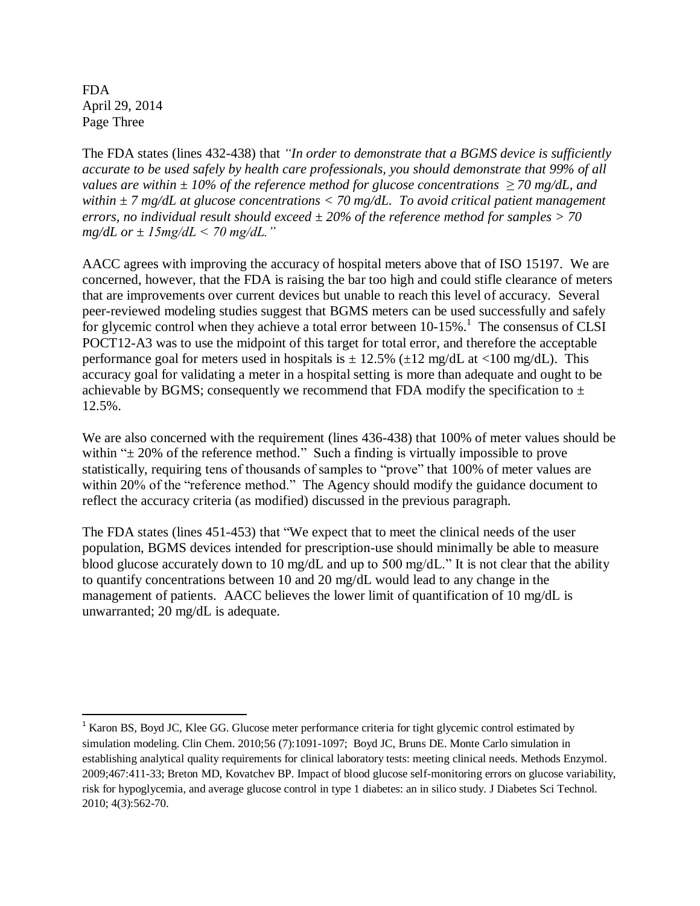FDA April 29, 2014 Page Three

 $\overline{a}$ 

The FDA states (lines 432-438) that *"In order to demonstrate that a BGMS device is sufficiently accurate to be used safely by health care professionals, you should demonstrate that 99% of all values are within ± 10% of the reference method for glucose concentrations ≥ 70 mg/dL, and within ± 7 mg/dL at glucose concentrations < 70 mg/dL. To avoid critical patient management errors, no individual result should exceed ± 20% of the reference method for samples > 70 mg/dL or ± 15mg/dL < 70 mg/dL."*

AACC agrees with improving the accuracy of hospital meters above that of ISO 15197. We are concerned, however, that the FDA is raising the bar too high and could stifle clearance of meters that are improvements over current devices but unable to reach this level of accuracy. Several peer-reviewed modeling studies suggest that BGMS meters can be used successfully and safely for glycemic control when they achieve a total error between  $10-15\%$ .<sup>1</sup> The consensus of CLSI POCT12-A3 was to use the midpoint of this target for total error, and therefore the acceptable performance goal for meters used in hospitals is  $\pm$  12.5% ( $\pm$ 12 mg/dL at <100 mg/dL). This accuracy goal for validating a meter in a hospital setting is more than adequate and ought to be achievable by BGMS; consequently we recommend that FDA modify the specification to  $\pm$ 12.5%.

We are also concerned with the requirement (lines 436-438) that 100% of meter values should be within " $\pm$  20% of the reference method." Such a finding is virtually impossible to prove statistically, requiring tens of thousands of samples to "prove" that 100% of meter values are within 20% of the "reference method." The Agency should modify the guidance document to reflect the accuracy criteria (as modified) discussed in the previous paragraph.

The FDA states (lines 451-453) that "We expect that to meet the clinical needs of the user population, BGMS devices intended for prescription-use should minimally be able to measure blood glucose accurately down to 10 mg/dL and up to 500 mg/dL." It is not clear that the ability to quantify concentrations between 10 and 20 mg/dL would lead to any change in the management of patients. AACC believes the lower limit of quantification of 10 mg/dL is unwarranted; 20 mg/dL is adequate.

<sup>&</sup>lt;sup>1</sup> Karon BS, Boyd JC, Klee GG. Glucose meter performance criteria for tight glycemic control estimated by simulation modeling. Clin Chem. 2010;56 (7):1091-1097; Boyd JC, Bruns DE. Monte Carlo simulation in establishing analytical quality requirements for clinical laboratory tests: meeting clinical needs. Methods Enzymol. 2009;467:411-33; Breton MD, Kovatchev BP. Impact of blood glucose self-monitoring errors on glucose variability, risk for hypoglycemia, and average glucose control in type 1 diabetes: an in silico study. J Diabetes Sci Technol. 2010; 4(3):562-70.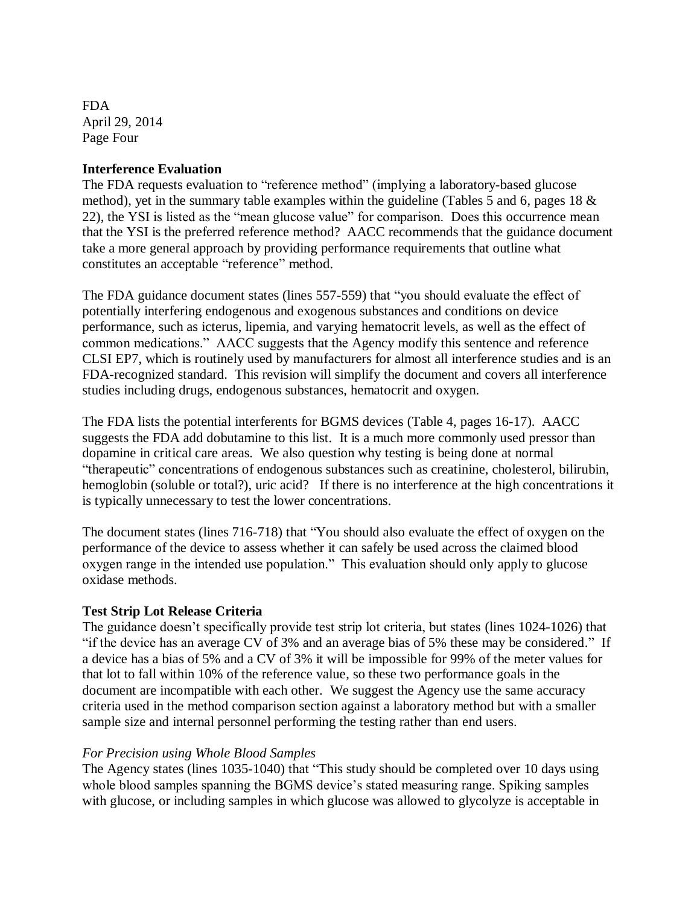FDA April 29, 2014 Page Four

## **Interference Evaluation**

The FDA requests evaluation to "reference method" (implying a laboratory-based glucose method), yet in the summary table examples within the guideline (Tables 5 and 6, pages 18 & 22), the YSI is listed as the "mean glucose value" for comparison. Does this occurrence mean that the YSI is the preferred reference method? AACC recommends that the guidance document take a more general approach by providing performance requirements that outline what constitutes an acceptable "reference" method.

The FDA guidance document states (lines 557-559) that "you should evaluate the effect of potentially interfering endogenous and exogenous substances and conditions on device performance, such as icterus, lipemia, and varying hematocrit levels, as well as the effect of common medications." AACC suggests that the Agency modify this sentence and reference CLSI EP7, which is routinely used by manufacturers for almost all interference studies and is an FDA-recognized standard. This revision will simplify the document and covers all interference studies including drugs, endogenous substances, hematocrit and oxygen.

The FDA lists the potential interferents for BGMS devices (Table 4, pages 16-17). AACC suggests the FDA add dobutamine to this list. It is a much more commonly used pressor than dopamine in critical care areas. We also question why testing is being done at normal "therapeutic" concentrations of endogenous substances such as creatinine, cholesterol, bilirubin, hemoglobin (soluble or total?), uric acid? If there is no interference at the high concentrations it is typically unnecessary to test the lower concentrations.

The document states (lines 716-718) that "You should also evaluate the effect of oxygen on the performance of the device to assess whether it can safely be used across the claimed blood oxygen range in the intended use population." This evaluation should only apply to glucose oxidase methods.

## **Test Strip Lot Release Criteria**

The guidance doesn't specifically provide test strip lot criteria, but states (lines 1024-1026) that "if the device has an average CV of 3% and an average bias of 5% these may be considered." If a device has a bias of 5% and a CV of 3% it will be impossible for 99% of the meter values for that lot to fall within 10% of the reference value, so these two performance goals in the document are incompatible with each other. We suggest the Agency use the same accuracy criteria used in the method comparison section against a laboratory method but with a smaller sample size and internal personnel performing the testing rather than end users.

### *For Precision using Whole Blood Samples*

The Agency states (lines 1035-1040) that "This study should be completed over 10 days using whole blood samples spanning the BGMS device's stated measuring range. Spiking samples with glucose, or including samples in which glucose was allowed to glycolyze is acceptable in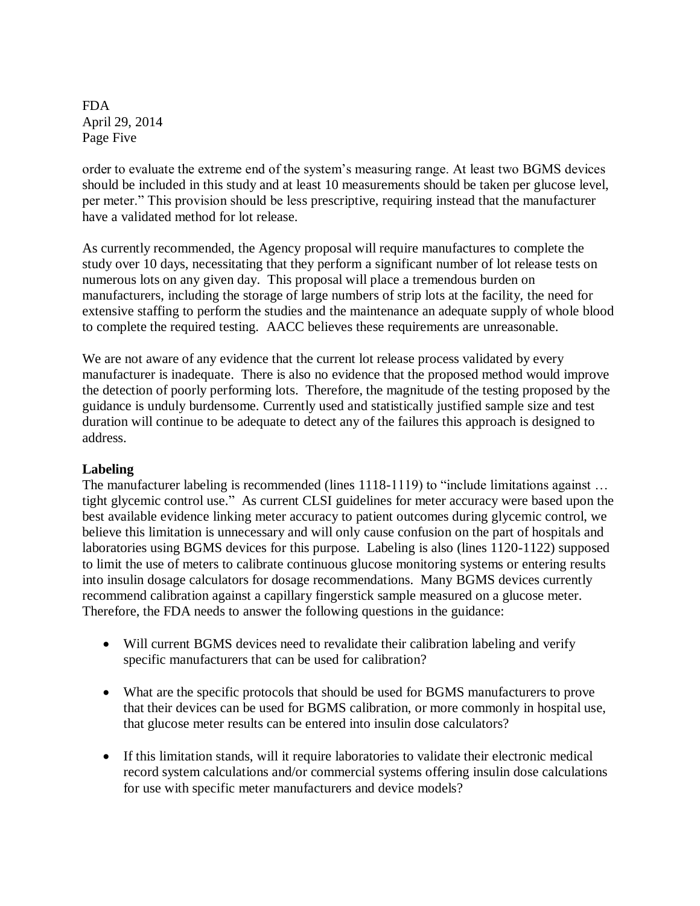FDA April 29, 2014 Page Five

order to evaluate the extreme end of the system's measuring range. At least two BGMS devices should be included in this study and at least 10 measurements should be taken per glucose level, per meter." This provision should be less prescriptive, requiring instead that the manufacturer have a validated method for lot release.

As currently recommended, the Agency proposal will require manufactures to complete the study over 10 days, necessitating that they perform a significant number of lot release tests on numerous lots on any given day. This proposal will place a tremendous burden on manufacturers, including the storage of large numbers of strip lots at the facility, the need for extensive staffing to perform the studies and the maintenance an adequate supply of whole blood to complete the required testing. AACC believes these requirements are unreasonable.

We are not aware of any evidence that the current lot release process validated by every manufacturer is inadequate. There is also no evidence that the proposed method would improve the detection of poorly performing lots. Therefore, the magnitude of the testing proposed by the guidance is unduly burdensome. Currently used and statistically justified sample size and test duration will continue to be adequate to detect any of the failures this approach is designed to address.

## **Labeling**

The manufacturer labeling is recommended (lines 1118-1119) to "include limitations against ... tight glycemic control use." As current CLSI guidelines for meter accuracy were based upon the best available evidence linking meter accuracy to patient outcomes during glycemic control, we believe this limitation is unnecessary and will only cause confusion on the part of hospitals and laboratories using BGMS devices for this purpose. Labeling is also (lines 1120-1122) supposed to limit the use of meters to calibrate continuous glucose monitoring systems or entering results into insulin dosage calculators for dosage recommendations. Many BGMS devices currently recommend calibration against a capillary fingerstick sample measured on a glucose meter. Therefore, the FDA needs to answer the following questions in the guidance:

- Will current BGMS devices need to revalidate their calibration labeling and verify specific manufacturers that can be used for calibration?
- What are the specific protocols that should be used for BGMS manufacturers to prove that their devices can be used for BGMS calibration, or more commonly in hospital use, that glucose meter results can be entered into insulin dose calculators?
- If this limitation stands, will it require laboratories to validate their electronic medical record system calculations and/or commercial systems offering insulin dose calculations for use with specific meter manufacturers and device models?